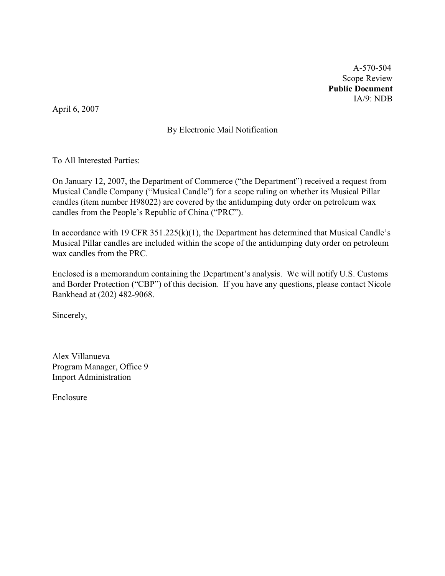A-570-504 Scope Review **Public Document** IA/9: NDB

April 6, 2007

# By Electronic Mail Notification

To All Interested Parties:

On January 12, 2007, the Department of Commerce ("the Department") received a request from Musical Candle Company ("Musical Candle") for a scope ruling on whether its Musical Pillar candles (item number H98022) are covered by the antidumping duty order on petroleum wax candles from the People's Republic of China ("PRC").

In accordance with 19 CFR 351.225(k)(1), the Department has determined that Musical Candle's Musical Pillar candles are included within the scope of the antidumping duty order on petroleum wax candles from the PRC.

Enclosed is a memorandum containing the Department's analysis. We will notify U.S. Customs and Border Protection ("CBP") of this decision. If you have any questions, please contact Nicole Bankhead at (202) 482-9068.

Sincerely,

Alex Villanueva Program Manager, Office 9 Import Administration

Enclosure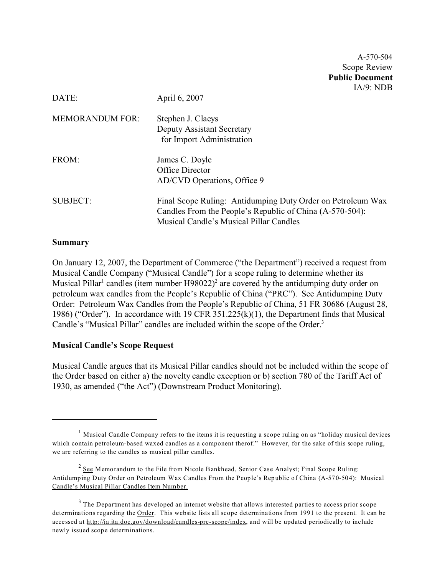A-570-504 Scope Review **Public Document** IA/9: NDB

| DATE:                  | April 6, 2007                                                                                                                                                      |
|------------------------|--------------------------------------------------------------------------------------------------------------------------------------------------------------------|
| <b>MEMORANDUM FOR:</b> | Stephen J. Claeys<br>Deputy Assistant Secretary<br>for Import Administration                                                                                       |
| FROM:                  | James C. Doyle<br>Office Director<br>AD/CVD Operations, Office 9                                                                                                   |
| <b>SUBJECT:</b>        | Final Scope Ruling: Antidumping Duty Order on Petroleum Wax<br>Candles From the People's Republic of China (A-570-504):<br>Musical Candle's Musical Pillar Candles |

#### **Summary**

On January 12, 2007, the Department of Commerce ("the Department") received a request from Musical Candle Company ("Musical Candle") for a scope ruling to determine whether its Musical Pillar<sup>1</sup> candles (item number H98022)<sup>2</sup> are covered by the antidumping duty order on petroleum wax candles from the People's Republic of China ("PRC"). See Antidumping Duty Order: Petroleum Wax Candles from the People's Republic of China, 51 FR 30686 (August 28, 1986) ("Order"). In accordance with 19 CFR 351.225(k)(1), the Department finds that Musical Candle's "Musical Pillar" candles are included within the scope of the Order.<sup>3</sup>

#### **Musical Candle's Scope Request**

Musical Candle argues that its Musical Pillar candles should not be included within the scope of the Order based on either a) the novelty candle exception or b) section 780 of the Tariff Act of 1930, as amended ("the Act") (Downstream Product Monitoring).

<sup>1</sup> Musical Candle Company refers to the items it is requesting a scope ruling on as "holiday musical devices which contain petroleum-based waxed candles as a component therof." However, for the sake of this scope ruling, we are referring to the candles as musical pillar candles.

 $2$  See Memorandum to the File from Nicole Bankhead, Senior Case Analyst; Final Scope Ruling: Antidumping Duty Order on Petroleum Wax Candles From the People's Republic of China (A-570-504): Musical Candle's Musical Pillar Candles Item Number.

 $3$  The Department has developed an internet website that allows interested parties to access prior scope determinations regarding the Order. This website lists all scope determinations from 1991 to the present. It can be accessed at [http://ia.ita.doc.gov/download/candles-prc-scope/index,](http://ia.ita.doc.gov/download/candles-prc-scope/,) and will be updated periodically to include newly issued scope determinations.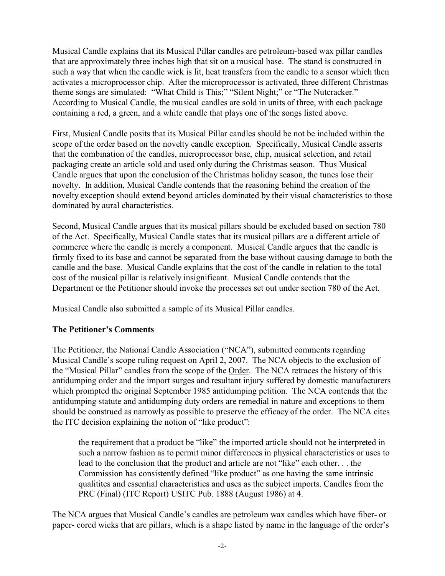Musical Candle explains that its Musical Pillar candles are petroleum-based wax pillar candles that are approximately three inches high that sit on a musical base. The stand is constructed in such a way that when the candle wick is lit, heat transfers from the candle to a sensor which then activates a microprocessor chip. After the microprocessor is activated, three different Christmas theme songs are simulated: "What Child is This;" "Silent Night;" or "The Nutcracker." According to Musical Candle, the musical candles are sold in units of three, with each package containing a red, a green, and a white candle that plays one of the songs listed above.

First, Musical Candle posits that its Musical Pillar candles should be not be included within the scope of the order based on the novelty candle exception. Specifically, Musical Candle asserts that the combination of the candles, microprocessor base, chip, musical selection, and retail packaging create an article sold and used only during the Christmas season. Thus Musical Candle argues that upon the conclusion of the Christmas holiday season, the tunes lose their novelty. In addition, Musical Candle contends that the reasoning behind the creation of the novelty exception should extend beyond articles dominated by their visual characteristics to those dominated by aural characteristics.

Second, Musical Candle argues that its musical pillars should be excluded based on section 780 of the Act. Specifically, Musical Candle states that its musical pillars are a different article of commerce where the candle is merely a component. Musical Candle argues that the candle is firmly fixed to its base and cannot be separated from the base without causing damage to both the candle and the base. Musical Candle explains that the cost of the candle in relation to the total cost of the musical pillar is relatively insignificant. Musical Candle contends that the Department or the Petitioner should invoke the processes set out under section 780 of the Act.

Musical Candle also submitted a sample of its Musical Pillar candles.

## **The Petitioner's Comments**

The Petitioner, the National Candle Association ("NCA"), submitted comments regarding Musical Candle's scope ruling request on April 2, 2007. The NCA objects to the exclusion of the "Musical Pillar" candles from the scope of the Order. The NCA retraces the history of this antidumping order and the import surges and resultant injury suffered by domestic manufacturers which prompted the original September 1985 antidumping petition. The NCA contends that the antidumping statute and antidumping duty orders are remedial in nature and exceptions to them should be construed as narrowly as possible to preserve the efficacy of the order. The NCA cites the ITC decision explaining the notion of "like product":

the requirement that a product be "like" the imported article should not be interpreted in such a narrow fashion as to permit minor differences in physical characteristics or uses to lead to the conclusion that the product and article are not "like" each other. . . the Commission has consistently defined "like product" as one having the same intrinsic qualitites and essential characteristics and uses as the subject imports. Candles from the PRC (Final) (ITC Report) USITC Pub. 1888 (August 1986) at 4.

The NCA argues that Musical Candle's candles are petroleum wax candles which have fiber- or paper- cored wicks that are pillars, which is a shape listed by name in the language of the order's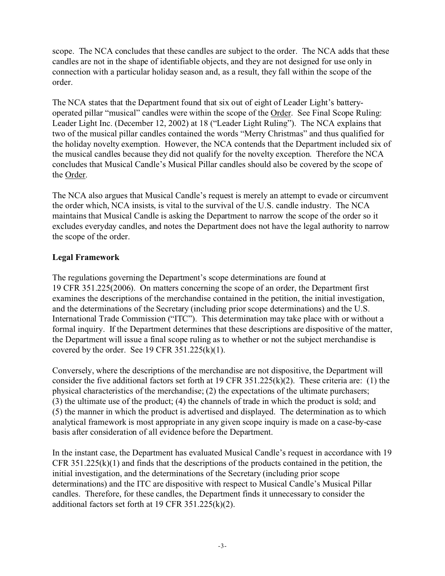scope. The NCA concludes that these candles are subject to the order. The NCA adds that these candles are not in the shape of identifiable objects, and they are not designed for use only in connection with a particular holiday season and, as a result, they fall within the scope of the order.

The NCA states that the Department found that six out of eight of Leader Light's batteryoperated pillar "musical" candles were within the scope of the Order. See Final Scope Ruling: Leader Light Inc. (December 12, 2002) at 18 ("Leader Light Ruling"). The NCA explains that two of the musical pillar candles contained the words "Merry Christmas" and thus qualified for the holiday novelty exemption. However, the NCA contends that the Department included six of the musical candles because they did not qualify for the novelty exception. Therefore the NCA concludes that Musical Candle's Musical Pillar candles should also be covered by the scope of the Order.

The NCA also argues that Musical Candle's request is merely an attempt to evade or circumvent the order which, NCA insists, is vital to the survival of the U.S. candle industry. The NCA maintains that Musical Candle is asking the Department to narrow the scope of the order so it excludes everyday candles, and notes the Department does not have the legal authority to narrow the scope of the order.

### **Legal Framework**

The regulations governing the Department's scope determinations are found at 19 CFR 351.225(2006). On matters concerning the scope of an order, the Department first examines the descriptions of the merchandise contained in the petition, the initial investigation, and the determinations of the Secretary (including prior scope determinations) and the U.S. International Trade Commission ("ITC"). This determination may take place with or without a formal inquiry. If the Department determines that these descriptions are dispositive of the matter, the Department will issue a final scope ruling as to whether or not the subject merchandise is covered by the order. See 19 CFR  $351.225(k)(1)$ .

Conversely, where the descriptions of the merchandise are not dispositive, the Department will consider the five additional factors set forth at 19 CFR 351.225(k)(2). These criteria are: (1) the physical characteristics of the merchandise; (2) the expectations of the ultimate purchasers; (3) the ultimate use of the product; (4) the channels of trade in which the product is sold; and (5) the manner in which the product is advertised and displayed. The determination as to which analytical framework is most appropriate in any given scope inquiry is made on a case-by-case basis after consideration of all evidence before the Department.

In the instant case, the Department has evaluated Musical Candle's request in accordance with 19 CFR 351.225(k)(1) and finds that the descriptions of the products contained in the petition, the initial investigation, and the determinations of the Secretary (including prior scope determinations) and the ITC are dispositive with respect to Musical Candle's Musical Pillar candles. Therefore, for these candles, the Department finds it unnecessary to consider the additional factors set forth at 19 CFR 351.225(k)(2).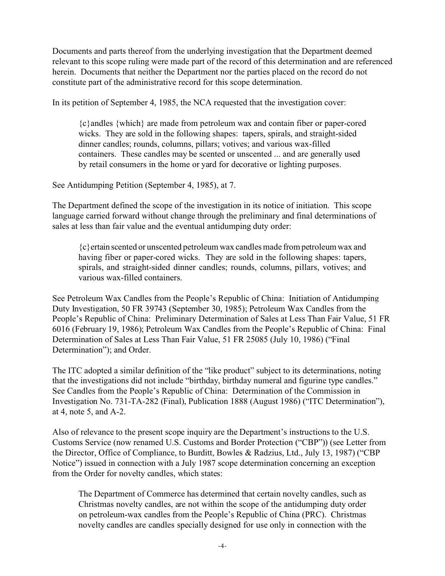Documents and parts thereof from the underlying investigation that the Department deemed relevant to this scope ruling were made part of the record of this determination and are referenced herein. Documents that neither the Department nor the parties placed on the record do not constitute part of the administrative record for this scope determination.

In its petition of September 4, 1985, the NCA requested that the investigation cover:

{c}andles {which} are made from petroleum wax and contain fiber or paper-cored wicks. They are sold in the following shapes: tapers, spirals, and straight-sided dinner candles; rounds, columns, pillars; votives; and various wax-filled containers. These candles may be scented or unscented ... and are generally used by retail consumers in the home or yard for decorative or lighting purposes.

See Antidumping Petition (September 4, 1985), at 7.

The Department defined the scope of the investigation in its notice of initiation. This scope language carried forward without change through the preliminary and final determinations of sales at less than fair value and the eventual antidumping duty order:

{c}ertain scented or unscented petroleum wax candles made from petroleum wax and having fiber or paper-cored wicks. They are sold in the following shapes: tapers, spirals, and straight-sided dinner candles; rounds, columns, pillars, votives; and various wax-filled containers.

See Petroleum Wax Candles from the People's Republic of China: Initiation of Antidumping Duty Investigation, 50 FR 39743 (September 30, 1985); Petroleum Wax Candles from the People's Republic of China: Preliminary Determination of Sales at Less Than Fair Value, 51 FR 6016 (February 19, 1986); Petroleum Wax Candles from the People's Republic of China: Final Determination of Sales at Less Than Fair Value, 51 FR 25085 (July 10, 1986) ("Final Determination"); and Order.

The ITC adopted a similar definition of the "like product" subject to its determinations, noting that the investigations did not include "birthday, birthday numeral and figurine type candles." See Candles from the People's Republic of China: Determination of the Commission in Investigation No. 731-TA-282 (Final), Publication 1888 (August 1986) ("ITC Determination"), at 4, note 5, and A-2.

Also of relevance to the present scope inquiry are the Department's instructions to the U.S. Customs Service (now renamed U.S. Customs and Border Protection ("CBP")) (see Letter from the Director, Office of Compliance, to Burditt, Bowles & Radzius, Ltd., July 13, 1987) ("CBP Notice") issued in connection with a July 1987 scope determination concerning an exception from the Order for novelty candles, which states:

The Department of Commerce has determined that certain novelty candles, such as Christmas novelty candles, are not within the scope of the antidumping duty order on petroleum-wax candles from the People's Republic of China (PRC). Christmas novelty candles are candles specially designed for use only in connection with the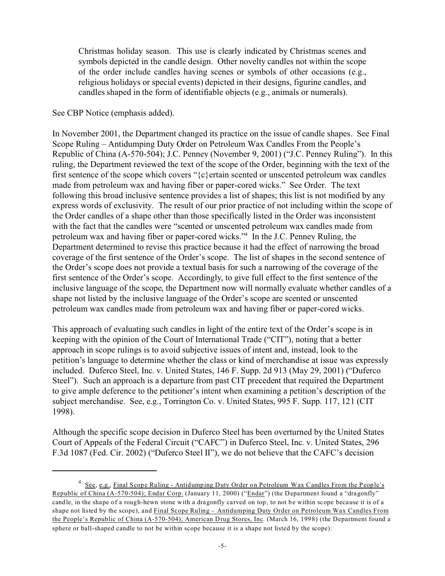Christmas holiday season. This use is clearly indicated by Christmas scenes and symbols depicted in the candle design. Other novelty candles not within the scope of the order include candles having scenes or symbols of other occasions (e.g., religious holidays or special events) depicted in their designs, figurine candles, and candles shaped in the form of identifiable objects (e.g., animals or numerals).

See CBP Notice (emphasis added).

In November 2001, the Department changed its practice on the issue of candle shapes. See Final Scope Ruling – Antidumping Duty Order on Petroleum Wax Candles From the People's Republic of China (A-570-504); J.C. Penney (November 9, 2001) ("J.C. Penney Ruling"). In this ruling, the Department reviewed the text of the scope of the Order, beginning with the text of the first sentence of the scope which covers " $\{c\}$  ertain scented or unscented petroleum wax candles made from petroleum wax and having fiber or paper-cored wicks." See Order. The text following this broad inclusive sentence provides a list of shapes; this list is not modified by any express words of exclusivity. The result of our prior practice of not including within the scope of the Order candles of a shape other than those specifically listed in the Order was inconsistent with the fact that the candles were "scented or unscented petroleum wax candles made from petroleum wax and having fiber or paper-cored wicks."<sup>4</sup> In the J.C. Penney Ruling, the Department determined to revise this practice because it had the effect of narrowing the broad coverage of the first sentence of the Order's scope. The list of shapes in the second sentence of the Order's scope does not provide a textual basis for such a narrowing of the coverage of the first sentence of the Order's scope. Accordingly, to give full effect to the first sentence of the inclusive language of the scope, the Department now will normally evaluate whether candles of a shape not listed by the inclusive language of the Order's scope are scented or unscented petroleum wax candles made from petroleum wax and having fiber or paper-cored wicks.

This approach of evaluating such candles in light of the entire text of the Order's scope is in keeping with the opinion of the Court of International Trade ("CIT"), noting that a better approach in scope rulings is to avoid subjective issues of intent and, instead, look to the petition's language to determine whether the class or kind of merchandise at issue was expressly included. Duferco Steel, Inc. v. United States, 146 F. Supp. 2d 913 (May 29, 2001) ("Duferco Steel"). Such an approach is a departure from past CIT precedent that required the Department to give ample deference to the petitioner's intent when examining a petition's description of the subject merchandise. See, e.g., Torrington Co. v. United States, 995 F. Supp. 117, 121 (CIT 1998).

Although the specific scope decision in Duferco Steel has been overturned by the United States Court of Appeals of the Federal Circuit ("CAFC") in Duferco Steel, Inc. v. United States, 296 F.3d 1087 (Fed. Cir. 2002) ("Duferco Steel II"), we do not believe that the CAFC's decision

<sup>&</sup>lt;sup>4</sup> See, e.g., Final Scope Ruling - Antidumping Duty Order on Petroleum Wax Candles From the People's Republic of China (A-570-504); Endar Corp. (January 11, 2000) ("Endar") (the Department found a "dragonfly" candle, in the shape of a rough-hewn stone with a dragonfly carved on top, to not be within scope because it is of a shape not listed by the scope), and Final Scope Ruling – Antidumping Duty Order on Petroleum Wax Candles From the People's Republic of China (A-570-504); American Drug Stores, Inc. (March 16, 1998) (the Department found a sphere or ball-shaped candle to not be within scope because it is a shape not listed by the scope).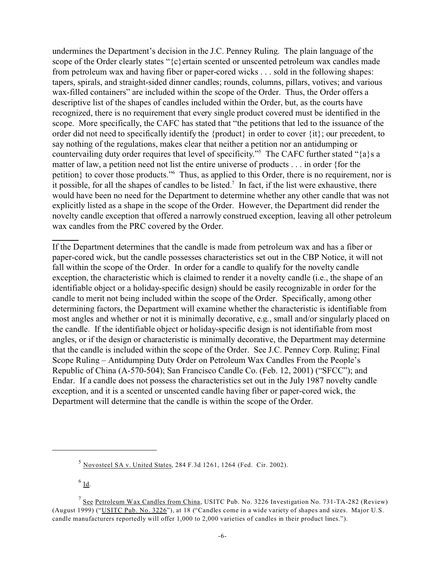undermines the Department's decision in the J.C. Penney Ruling. The plain language of the scope of the Order clearly states "{c}ertain scented or unscented petroleum wax candles made from petroleum wax and having fiber or paper-cored wicks . . . sold in the following shapes: tapers, spirals, and straight-sided dinner candles; rounds, columns, pillars, votives; and various wax-filled containers" are included within the scope of the Order. Thus, the Order offers a descriptive list of the shapes of candles included within the Order, but, as the courts have recognized, there is no requirement that every single product covered must be identified in the scope. More specifically, the CAFC has stated that "the petitions that led to the issuance of the order did not need to specifically identify the {product} in order to cover {it}; our precedent, to say nothing of the regulations, makes clear that neither a petition nor an antidumping or countervailing duty order requires that level of specificity."<sup>5</sup> The CAFC further stated "{a}s a matter of law, a petition need not list the entire universe of products . . . in order {for the petition} to cover those products."<sup>6</sup> Thus, as applied to this Order, there is no requirement, nor is it possible, for all the shapes of candles to be listed.<sup>7</sup> In fact, if the list were exhaustive, there would have been no need for the Department to determine whether any other candle that was not explicitly listed as a shape in the scope of the Order. However, the Department did render the novelty candle exception that offered a narrowly construed exception, leaving all other petroleum wax candles from the PRC covered by the Order.

If the Department determines that the candle is made from petroleum wax and has a fiber or paper-cored wick, but the candle possesses characteristics set out in the CBP Notice, it will not fall within the scope of the Order. In order for a candle to qualify for the novelty candle exception, the characteristic which is claimed to render it a novelty candle (i.e., the shape of an identifiable object or a holiday-specific design) should be easily recognizable in order for the candle to merit not being included within the scope of the Order. Specifically, among other determining factors, the Department will examine whether the characteristic is identifiable from most angles and whether or not it is minimally decorative, e.g., small and/or singularly placed on the candle. If the identifiable object or holiday-specific design is not identifiable from most angles, or if the design or characteristic is minimally decorative, the Department may determine that the candle is included within the scope of the Order. See J.C. Penney Corp. Ruling; Final Scope Ruling – Antidumping Duty Order on Petroleum Wax Candles From the People's Republic of China (A-570-504); San Francisco Candle Co. (Feb. 12, 2001) ("SFCC"); and Endar. If a candle does not possess the characteristics set out in the July 1987 novelty candle exception, and it is a scented or unscented candle having fiber or paper-cored wick, the Department will determine that the candle is within the scope of the Order.

 $^6$  <u>Id</u>.

 $5$  Novosteel SA v. United States, 284 F.3d 1261, 1264 (Fed. Cir. 2002).

<sup>&</sup>lt;sup>7</sup> See Petroleum Wax Candles from China, USITC Pub. No. 3226 Investigation No. 731-TA-282 (Review) (August 1999) ("USITC Pub. No. 3226"), at 18 ("Candles come in a wide variety of shapes and sizes. Major U.S. candle manufacturers reportedly will offer 1,000 to 2,000 varieties of candles in their product lines.").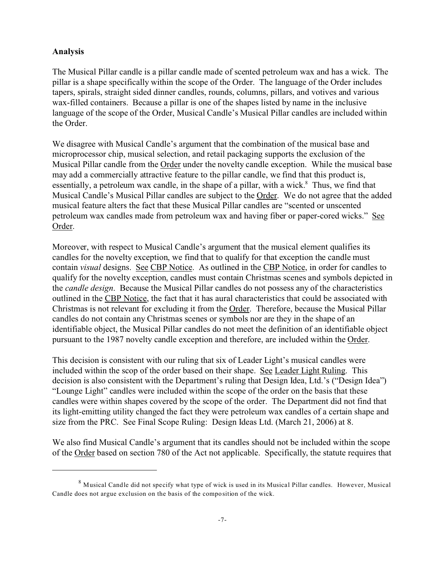#### **Analysis**

The Musical Pillar candle is a pillar candle made of scented petroleum wax and has a wick. The pillar is a shape specifically within the scope of the Order. The language of the Order includes tapers, spirals, straight sided dinner candles, rounds, columns, pillars, and votives and various wax-filled containers. Because a pillar is one of the shapes listed by name in the inclusive language of the scope of the Order, Musical Candle's Musical Pillar candles are included within the Order.

We disagree with Musical Candle's argument that the combination of the musical base and microprocessor chip, musical selection, and retail packaging supports the exclusion of the Musical Pillar candle from the Order under the novelty candle exception. While the musical base may add a commercially attractive feature to the pillar candle, we find that this product is, essentially, a petroleum wax candle, in the shape of a pillar, with a wick.<sup>8</sup> Thus, we find that Musical Candle's Musical Pillar candles are subject to the Order. We do not agree that the added musical feature alters the fact that these Musical Pillar candles are "scented or unscented petroleum wax candles made from petroleum wax and having fiber or paper-cored wicks." See Order.

Moreover, with respect to Musical Candle's argument that the musical element qualifies its candles for the novelty exception, we find that to qualify for that exception the candle must contain *visual* designs. See CBP Notice. As outlined in the CBP Notice, in order for candles to qualify for the novelty exception, candles must contain Christmas scenes and symbols depicted in the *candle design*. Because the Musical Pillar candles do not possess any of the characteristics outlined in the CBP Notice, the fact that it has aural characteristics that could be associated with Christmas is not relevant for excluding it from the Order. Therefore, because the Musical Pillar candles do not contain any Christmas scenes or symbols nor are they in the shape of an identifiable object, the Musical Pillar candles do not meet the definition of an identifiable object pursuant to the 1987 novelty candle exception and therefore, are included within the Order.

This decision is consistent with our ruling that six of Leader Light's musical candles were included within the scop of the order based on their shape. See Leader Light Ruling. This decision is also consistent with the Department's ruling that Design Idea, Ltd.'s ("Design Idea") "Lounge Light" candles were included within the scope of the order on the basis that these candles were within shapes covered by the scope of the order. The Department did not find that its light-emitting utility changed the fact they were petroleum wax candles of a certain shape and size from the PRC. See Final Scope Ruling: Design Ideas Ltd. (March 21, 2006) at 8.

We also find Musical Candle's argument that its candles should not be included within the scope of the Order based on section 780 of the Act not applicable. Specifically, the statute requires that

 $8$  Musical Candle did not specify what type of wick is used in its Musical Pillar candles. However, Musical Candle does not argue exclusion on the basis of the composition of the wick.